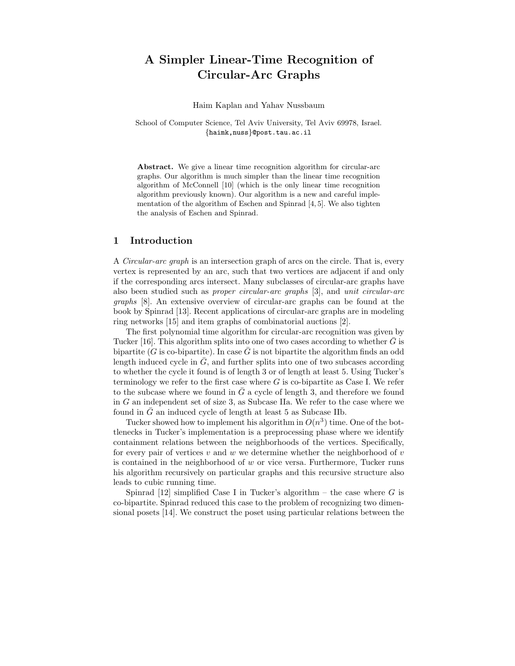# A Simpler Linear-Time Recognition of Circular-Arc Graphs

Haim Kaplan and Yahav Nussbaum

School of Computer Science, Tel Aviv University, Tel Aviv 69978, Israel. {haimk,nuss}@post.tau.ac.il

Abstract. We give a linear time recognition algorithm for circular-arc graphs. Our algorithm is much simpler than the linear time recognition algorithm of McConnell [10] (which is the only linear time recognition algorithm previously known). Our algorithm is a new and careful implementation of the algorithm of Eschen and Spinrad [4, 5]. We also tighten the analysis of Eschen and Spinrad.

# 1 Introduction

A Circular-arc graph is an intersection graph of arcs on the circle. That is, every vertex is represented by an arc, such that two vertices are adjacent if and only if the corresponding arcs intersect. Many subclasses of circular-arc graphs have also been studied such as proper circular-arc graphs [3], and unit circular-arc graphs [8]. An extensive overview of circular-arc graphs can be found at the book by Spinrad [13]. Recent applications of circular-arc graphs are in modeling ring networks [15] and item graphs of combinatorial auctions [2].

The first polynomial time algorithm for circular-arc recognition was given by Tucker [16]. This algorithm splits into one of two cases according to whether  $\bar{G}$  is bipartite (G is co-bipartite). In case  $\overline{G}$  is not bipartite the algorithm finds an odd length induced cycle in  $\tilde{G}$ , and further splits into one of two subcases according to whether the cycle it found is of length 3 or of length at least 5. Using Tucker's terminology we refer to the first case where  $G$  is co-bipartite as Case I. We refer to the subcase where we found in  $\overline{G}$  a cycle of length 3, and therefore we found in  $G$  an independent set of size 3, as Subcase IIa. We refer to the case where we found in  $\overline{G}$  an induced cycle of length at least 5 as Subcase IIb.

Tucker showed how to implement his algorithm in  $O(n^3)$  time. One of the bottlenecks in Tucker's implementation is a preprocessing phase where we identify containment relations between the neighborhoods of the vertices. Specifically, for every pair of vertices v and w we determine whether the neighborhood of  $v$ is contained in the neighborhood of  $w$  or vice versa. Furthermore, Tucker runs his algorithm recursively on particular graphs and this recursive structure also leads to cubic running time.

Spinrad [12] simplified Case I in Tucker's algorithm – the case where  $G$  is co-bipartite. Spinrad reduced this case to the problem of recognizing two dimensional posets [14]. We construct the poset using particular relations between the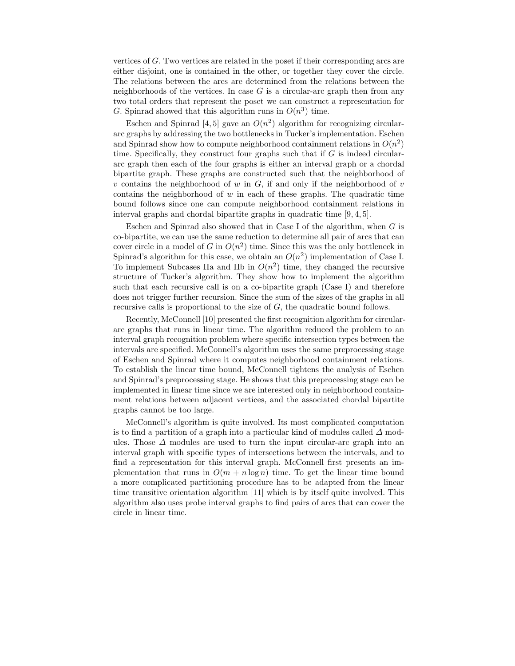vertices of G. Two vertices are related in the poset if their corresponding arcs are either disjoint, one is contained in the other, or together they cover the circle. The relations between the arcs are determined from the relations between the neighborhoods of the vertices. In case  $G$  is a circular-arc graph then from any two total orders that represent the poset we can construct a representation for G. Spinrad showed that this algorithm runs in  $O(n^3)$  time.

Eschen and Spinrad [4,5] gave an  $O(n^2)$  algorithm for recognizing circulararc graphs by addressing the two bottlenecks in Tucker's implementation. Eschen and Spinrad show how to compute neighborhood containment relations in  $O(n^2)$ time. Specifically, they construct four graphs such that if  $G$  is indeed circulararc graph then each of the four graphs is either an interval graph or a chordal bipartite graph. These graphs are constructed such that the neighborhood of v contains the neighborhood of w in  $G$ , if and only if the neighborhood of v contains the neighborhood of  $w$  in each of these graphs. The quadratic time bound follows since one can compute neighborhood containment relations in interval graphs and chordal bipartite graphs in quadratic time [9, 4, 5].

Eschen and Spinrad also showed that in Case I of the algorithm, when  $G$  is co-bipartite, we can use the same reduction to determine all pair of arcs that can cover circle in a model of G in  $O(n^2)$  time. Since this was the only bottleneck in Spinrad's algorithm for this case, we obtain an  $O(n^2)$  implementation of Case I. To implement Subcases IIa and IIb in  $O(n^2)$  time, they changed the recursive structure of Tucker's algorithm. They show how to implement the algorithm such that each recursive call is on a co-bipartite graph (Case I) and therefore does not trigger further recursion. Since the sum of the sizes of the graphs in all recursive calls is proportional to the size of G, the quadratic bound follows.

Recently, McConnell [10] presented the first recognition algorithm for circulararc graphs that runs in linear time. The algorithm reduced the problem to an interval graph recognition problem where specific intersection types between the intervals are specified. McConnell's algorithm uses the same preprocessing stage of Eschen and Spinrad where it computes neighborhood containment relations. To establish the linear time bound, McConnell tightens the analysis of Eschen and Spinrad's preprocessing stage. He shows that this preprocessing stage can be implemented in linear time since we are interested only in neighborhood containment relations between adjacent vertices, and the associated chordal bipartite graphs cannot be too large.

McConnell's algorithm is quite involved. Its most complicated computation is to find a partition of a graph into a particular kind of modules called  $\Delta$  modules. Those  $\Delta$  modules are used to turn the input circular-arc graph into an interval graph with specific types of intersections between the intervals, and to find a representation for this interval graph. McConnell first presents an implementation that runs in  $O(m + n \log n)$  time. To get the linear time bound a more complicated partitioning procedure has to be adapted from the linear time transitive orientation algorithm [11] which is by itself quite involved. This algorithm also uses probe interval graphs to find pairs of arcs that can cover the circle in linear time.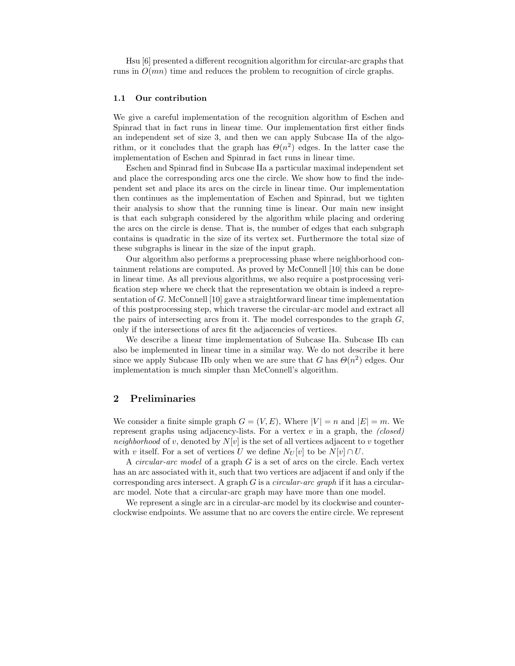Hsu [6] presented a different recognition algorithm for circular-arc graphs that runs in  $O(mn)$  time and reduces the problem to recognition of circle graphs.

#### 1.1 Our contribution

We give a careful implementation of the recognition algorithm of Eschen and Spinrad that in fact runs in linear time. Our implementation first either finds an independent set of size 3, and then we can apply Subcase IIa of the algorithm, or it concludes that the graph has  $\Theta(n^2)$  edges. In the latter case the implementation of Eschen and Spinrad in fact runs in linear time.

Eschen and Spinrad find in Subcase IIa a particular maximal independent set and place the corresponding arcs one the circle. We show how to find the independent set and place its arcs on the circle in linear time. Our implementation then continues as the implementation of Eschen and Spinrad, but we tighten their analysis to show that the running time is linear. Our main new insight is that each subgraph considered by the algorithm while placing and ordering the arcs on the circle is dense. That is, the number of edges that each subgraph contains is quadratic in the size of its vertex set. Furthermore the total size of these subgraphs is linear in the size of the input graph.

Our algorithm also performs a preprocessing phase where neighborhood containment relations are computed. As proved by McConnell [10] this can be done in linear time. As all previous algorithms, we also require a postprocessing verification step where we check that the representation we obtain is indeed a representation of G. McConnell [10] gave a straightforward linear time implementation of this postprocessing step, which traverse the circular-arc model and extract all the pairs of intersecting arcs from it. The model correspondes to the graph  $G$ , only if the intersections of arcs fit the adjacencies of vertices.

We describe a linear time implementation of Subcase IIa. Subcase IIb can also be implemented in linear time in a similar way. We do not describe it here since we apply Subcase IIb only when we are sure that G has  $\Theta(n^2)$  edges. Our implementation is much simpler than McConnell's algorithm.

## 2 Preliminaries

We consider a finite simple graph  $G = (V, E)$ , Where  $|V| = n$  and  $|E| = m$ . We represent graphs using adjacency-lists. For a vertex  $v$  in a graph, the  $(closed)$ neighborhood of v, denoted by  $N[v]$  is the set of all vertices adjacent to v together with v itself. For a set of vertices U we define  $N_U[v]$  to be  $N[v] \cap U$ .

A *circular-arc model* of a graph  $G$  is a set of arcs on the circle. Each vertex has an arc associated with it, such that two vertices are adjacent if and only if the corresponding arcs intersect. A graph  $G$  is a *circular-arc graph* if it has a circulararc model. Note that a circular-arc graph may have more than one model.

We represent a single arc in a circular-arc model by its clockwise and counterclockwise endpoints. We assume that no arc covers the entire circle. We represent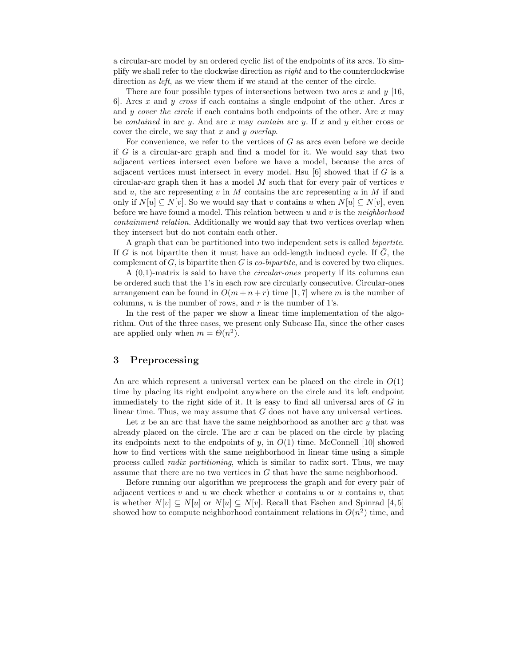a circular-arc model by an ordered cyclic list of the endpoints of its arcs. To simplify we shall refer to the clockwise direction as right and to the counterclockwise direction as *left*, as we view them if we stand at the center of the circle.

There are four possible types of intersections between two arcs  $x$  and  $y$  [16, 6. Arcs x and y cross if each contains a single endpoint of the other. Arcs x and y cover the circle if each contains both endpoints of the other. Arc  $x$  may be *contained* in arc y. And arc x may *contain* arc y. If x and y either cross or cover the circle, we say that  $x$  and  $y$  overlap.

For convenience, we refer to the vertices of  $G$  as arcs even before we decide if  $G$  is a circular-arc graph and find a model for it. We would say that two adjacent vertices intersect even before we have a model, because the arcs of adjacent vertices must intersect in every model. Hsu  $[6]$  showed that if G is a circular-arc graph then it has a model  $M$  such that for every pair of vertices  $v$ and u, the arc representing v in M contains the arc representing u in M if and only if  $N[u] \subseteq N[v]$ . So we would say that v contains u when  $N[u] \subseteq N[v]$ , even before we have found a model. This relation between  $u$  and  $v$  is the neighborhood containment relation. Additionally we would say that two vertices overlap when they intersect but do not contain each other.

A graph that can be partitioned into two independent sets is called bipartite. If G is not bipartite then it must have an odd-length induced cycle. If G, the complement of  $G$ , is bipartite then  $G$  is *co-bipartite*, and is covered by two cliques.

A  $(0,1)$ -matrix is said to have the *circular-ones* property if its columns can be ordered such that the 1's in each row are circularly consecutive. Circular-ones arrangement can be found in  $O(m + n + r)$  time [1, 7] where m is the number of columns,  $n$  is the number of rows, and  $r$  is the number of 1's.

In the rest of the paper we show a linear time implementation of the algorithm. Out of the three cases, we present only Subcase IIa, since the other cases are applied only when  $m = \Theta(n^2)$ .

# 3 Preprocessing

An arc which represent a universal vertex can be placed on the circle in  $O(1)$ time by placing its right endpoint anywhere on the circle and its left endpoint immediately to the right side of it. It is easy to find all universal arcs of  $G$  in linear time. Thus, we may assume that  $G$  does not have any universal vertices.

Let x be an arc that have the same neighborhood as another arc  $y$  that was already placed on the circle. The arc  $x$  can be placed on the circle by placing its endpoints next to the endpoints of y, in  $O(1)$  time. McConnell [10] showed how to find vertices with the same neighborhood in linear time using a simple process called radix partitioning, which is similar to radix sort. Thus, we may assume that there are no two vertices in G that have the same neighborhood.

Before running our algorithm we preprocess the graph and for every pair of adjacent vertices v and u we check whether v contains u or u contains v, that is whether  $N[v] \subseteq N[u]$  or  $N[u] \subseteq N[v]$ . Recall that Eschen and Spinrad [4,5] showed how to compute neighborhood containment relations in  $O(n^2)$  time, and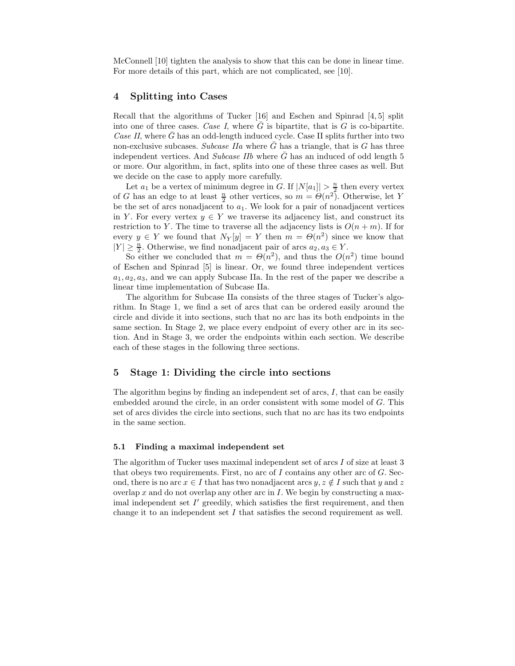McConnell [10] tighten the analysis to show that this can be done in linear time. For more details of this part, which are not complicated, see [10].

# 4 Splitting into Cases

Recall that the algorithms of Tucker [16] and Eschen and Spinrad [4, 5] split into one of three cases. Case I, where G is bipartite, that is G is co-bipartite. Case II, where  $\bar{G}$  has an odd-length induced cycle. Case II splits further into two non-exclusive subcases. Subcase IIa where  $\bar{G}$  has a triangle, that is G has three independent vertices. And Subcase IIb where  $\bar{G}$  has an induced of odd length 5 or more. Our algorithm, in fact, splits into one of these three cases as well. But we decide on the case to apply more carefully.

Let  $a_1$  be a vertex of minimum degree in G. If  $|N[a_1]| > \frac{n}{2}$  then every vertex of G has an edge to at least  $\frac{n}{2}$  other vertices, so  $m = \Theta(n^2)$ . Otherwise, let Y be the set of arcs nonadjacent to  $a_1$ . We look for a pair of nonadjacent vertices in Y. For every vertex  $y \in Y$  we traverse its adjacency list, and construct its restriction to Y. The time to traverse all the adjacency lists is  $O(n + m)$ . If for every  $y \in Y$  we found that  $N_Y[y] = Y$  then  $m = \Theta(n^2)$  since we know that  $|Y| \geq \frac{n}{2}$ . Otherwise, we find nonadjacent pair of arcs  $a_2, a_3 \in Y$ .

So either we concluded that  $m = \Theta(n^2)$ , and thus the  $O(n^2)$  time bound of Eschen and Spinrad [5] is linear. Or, we found three independent vertices  $a_1, a_2, a_3$ , and we can apply Subcase IIa. In the rest of the paper we describe a linear time implementation of Subcase IIa.

The algorithm for Subcase IIa consists of the three stages of Tucker's algorithm. In Stage 1, we find a set of arcs that can be ordered easily around the circle and divide it into sections, such that no arc has its both endpoints in the same section. In Stage 2, we place every endpoint of every other arc in its section. And in Stage 3, we order the endpoints within each section. We describe each of these stages in the following three sections.

### 5 Stage 1: Dividing the circle into sections

The algorithm begins by finding an independent set of arcs,  $I$ , that can be easily embedded around the circle, in an order consistent with some model of G. This set of arcs divides the circle into sections, such that no arc has its two endpoints in the same section.

#### 5.1 Finding a maximal independent set

The algorithm of Tucker uses maximal independent set of arcs I of size at least 3 that obeys two requirements. First, no arc of  $I$  contains any other arc of  $G$ . Second, there is no arc  $x \in I$  that has two nonadjacent arcs  $y, z \notin I$  such that y and z overlap x and do not overlap any other arc in  $I$ . We begin by constructing a maximal independent set  $I'$  greedily, which satisfies the first requirement, and then change it to an independent set  $I$  that satisfies the second requirement as well.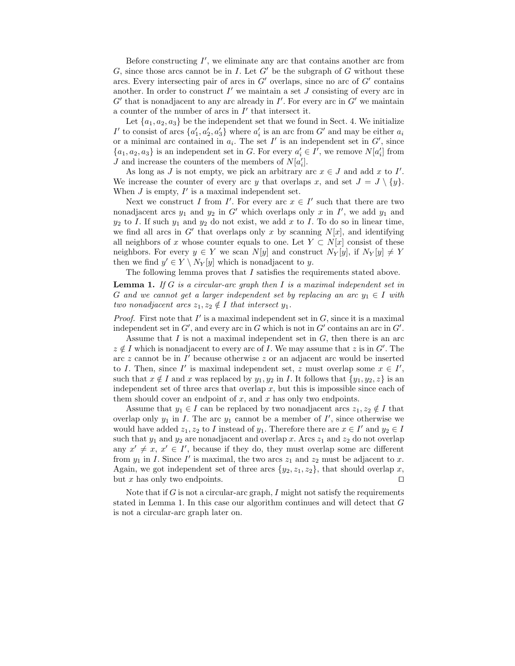Before constructing  $I'$ , we eliminate any arc that contains another arc from G, since those arcs cannot be in I. Let  $G'$  be the subgraph of G without these arcs. Every intersecting pair of arcs in  $G'$  overlaps, since no arc of  $G'$  contains another. In order to construct  $I'$  we maintain a set  $J$  consisting of every arc in  $G'$  that is nonadjacent to any arc already in  $I'$ . For every arc in  $G'$  we maintain a counter of the number of arcs in  $I'$  that intersect it.

Let  $\{a_1, a_2, a_3\}$  be the independent set that we found in Sect. 4. We initialize  $I'$  to consist of arcs  $\{a'_1, a'_2, a'_3\}$  where  $a'_i$  is an arc from  $G'$  and may be either  $a_i$ or a minimal arc contained in  $a_i$ . The set I' is an independent set in  $G'$ , since  ${a_1, a_2, a_3}$  is an independent set in G. For every  $a'_i \in I'$ , we remove  $N[a'_i]$  from  $J$  and increase the counters of the members of  $N[a'_i]$ .

As long as J is not empty, we pick an arbitrary arc  $x \in J$  and add x to I'. We increase the counter of every arc y that overlaps x, and set  $J = J \setminus \{y\}$ . When  $J$  is empty,  $I'$  is a maximal independent set.

Next we construct I from I'. For every arc  $x \in I'$  such that there are two nonadjacent arcs  $y_1$  and  $y_2$  in G' which overlaps only x in I', we add  $y_1$  and  $y_2$  to I. If such  $y_1$  and  $y_2$  do not exist, we add x to I. To do so in linear time, we find all arcs in  $G'$  that overlaps only x by scanning  $N[x]$ , and identifying all neighbors of x whose counter equals to one. Let  $Y \subset N[x]$  consist of these neighbors. For every  $y \in Y$  we scan N[y] and construct  $N_Y[y]$ , if  $N_Y[y] \neq Y$ then we find  $y' \in Y \setminus N_Y[y]$  which is nonadjacent to y.

The following lemma proves that I satisfies the requirements stated above.

**Lemma 1.** If G is a circular-arc graph then I is a maximal independent set in G and we cannot get a larger independent set by replacing an arc  $y_1 \in I$  with two nonadjacent arcs  $z_1, z_2 \notin I$  that intersect  $y_1$ .

*Proof.* First note that  $I'$  is a maximal independent set in  $G$ , since it is a maximal independent set in  $G'$ , and every arc in G which is not in  $G'$  contains an arc in  $G'$ .

Assume that  $I$  is not a maximal independent set in  $G$ , then there is an arc  $z \notin I$  which is nonadjacent to every arc of I. We may assume that z is in  $G'$ . The arc  $z$  cannot be in  $I'$  because otherwise  $z$  or an adjacent arc would be inserted to I. Then, since I' is maximal independent set, z must overlap some  $x \in I'$ , such that  $x \notin I$  and x was replaced by  $y_1, y_2$  in I. It follows that  $\{y_1, y_2, z\}$  is an independent set of three arcs that overlap  $x$ , but this is impossible since each of them should cover an endpoint of  $x$ , and  $x$  has only two endpoints.

Assume that  $y_1 \in I$  can be replaced by two nonadjacent arcs  $z_1, z_2 \notin I$  that overlap only  $y_1$  in I. The arc  $y_1$  cannot be a member of I', since otherwise we would have added  $z_1, z_2$  to I instead of  $y_1$ . Therefore there are  $x \in I'$  and  $y_2 \in I$ such that  $y_1$  and  $y_2$  are nonadjacent and overlap x. Arcs  $z_1$  and  $z_2$  do not overlap any  $x' \neq x$ ,  $x' \in I'$ , because if they do, they must overlap some arc different from  $y_1$  in I. Since I' is maximal, the two arcs  $z_1$  and  $z_2$  must be adjacent to x. Again, we got independent set of three arcs  $\{y_2, z_1, z_2\}$ , that should overlap x, but x has only two endpoints.  $\square$ 

Note that if G is not a circular-arc graph, I might not satisfy the requirements stated in Lemma 1. In this case our algorithm continues and will detect that G is not a circular-arc graph later on.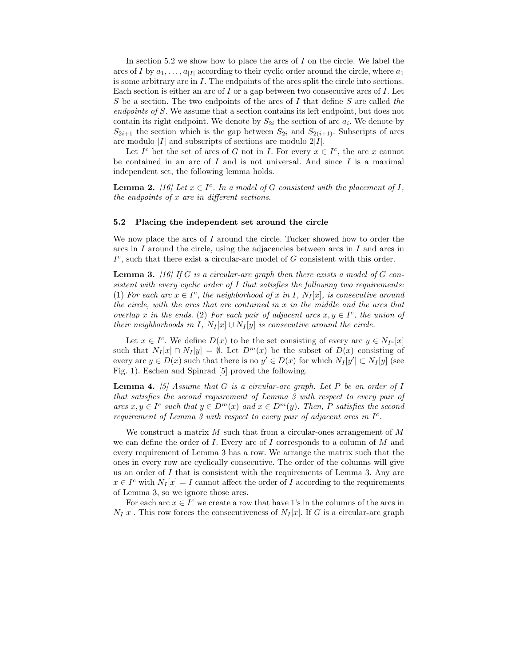In section 5.2 we show how to place the arcs of I on the circle. We label the arcs of I by  $a_1, \ldots, a_{|I|}$  according to their cyclic order around the circle, where  $a_1$ is some arbitrary arc in I. The endpoints of the arcs split the circle into sections. Each section is either an arc of  $I$  or a gap between two consecutive arcs of  $I$ . Let S be a section. The two endpoints of the arcs of I that define S are called the endpoints of S. We assume that a section contains its left endpoint, but does not contain its right endpoint. We denote by  $S_{2i}$  the section of arc  $a_i$ . We denote by  $S_{2i+1}$  the section which is the gap between  $S_{2i}$  and  $S_{2(i+1)}$ . Subscripts of arcs are modulo  $|I|$  and subscripts of sections are modulo  $2|I|$ .

Let  $I^c$  bet the set of arcs of G not in I. For every  $x \in I^c$ , the arc x cannot be contained in an arc of  $I$  and is not universal. And since  $I$  is a maximal independent set, the following lemma holds.

**Lemma 2.** [16] Let  $x \in I^c$ . In a model of G consistent with the placement of I, the endpoints of x are in different sections.

### 5.2 Placing the independent set around the circle

We now place the arcs of  $I$  around the circle. Tucker showed how to order the arcs in  $I$  around the circle, using the adjacencies between arcs in  $I$  and arcs in  $I<sup>c</sup>$ , such that there exist a circular-arc model of G consistent with this order.

**Lemma 3.** [16] If G is a circular-arc graph then there exists a model of G consistent with every cyclic order of  $I$  that satisfies the following two requirements: (1) For each arc  $x \in I^c$ , the neighborhood of x in I,  $N_I[x]$ , is consecutive around the circle, with the arcs that are contained in  $x$  in the middle and the arcs that overlap x in the ends. (2) For each pair of adjacent arcs  $x, y \in I^c$ , the union of their neighborhoods in I,  $N_I[x] \cup N_I[y]$  is consecutive around the circle.

Let  $x \in I^c$ . We define  $D(x)$  to be the set consisting of every arc  $y \in N_{I^c}[x]$ such that  $N_I[x] \cap N_I[y] = \emptyset$ . Let  $D^m(x)$  be the subset of  $D(x)$  consisting of every arc  $y \in D(x)$  such that there is no  $y' \in D(x)$  for which  $N_I[y'] \subset N_I[y]$  (see Fig. 1). Eschen and Spinrad [5] proved the following.

**Lemma 4.** [5] Assume that G is a circular-arc graph. Let P be an order of I that satisfies the second requirement of Lemma 3 with respect to every pair of arcs  $x, y \in I^c$  such that  $y \in D^m(x)$  and  $x \in D^m(y)$ . Then, P satisfies the second requirement of Lemma 3 with respect to every pair of adjacent arcs in  $I<sup>c</sup>$ .

We construct a matrix  $M$  such that from a circular-ones arrangement of  $M$ we can define the order of  $I$ . Every arc of  $I$  corresponds to a column of  $M$  and every requirement of Lemma 3 has a row. We arrange the matrix such that the ones in every row are cyclically consecutive. The order of the columns will give us an order of  $I$  that is consistent with the requirements of Lemma 3. Any arc  $x \in I^c$  with  $N_I[x] = I$  cannot affect the order of I according to the requirements of Lemma 3, so we ignore those arcs.

For each arc  $x \in I^c$  we create a row that have 1's in the columns of the arcs in  $N_I[x]$ . This row forces the consecutiveness of  $N_I[x]$ . If G is a circular-arc graph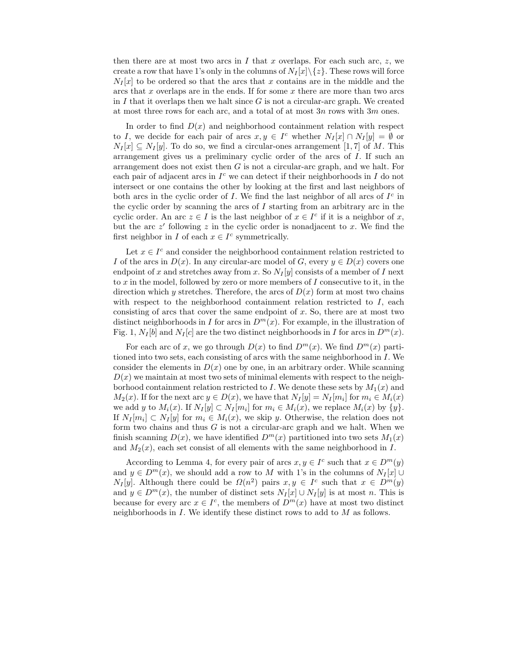then there are at most two arcs in  $I$  that x overlaps. For each such arc, z, we create a row that have 1's only in the columns of  $N_I[x]\setminus\{z\}$ . These rows will force  $N_I[x]$  to be ordered so that the arcs that x contains are in the middle and the arcs that x overlaps are in the ends. If for some  $x$  there are more than two arcs in  $I$  that it overlaps then we halt since  $G$  is not a circular-arc graph. We created at most three rows for each arc, and a total of at most  $3n$  rows with  $3m$  ones.

In order to find  $D(x)$  and neighborhood containment relation with respect to I, we decide for each pair of arcs  $x, y \in I^c$  whether  $N_I[x] \cap N_I[y] = \emptyset$  or  $N_I[x] \subseteq N_I[y]$ . To do so, we find a circular-ones arrangement [1,7] of M. This arrangement gives us a preliminary cyclic order of the arcs of I. If such an arrangement does not exist then  $G$  is not a circular-arc graph, and we halt. For each pair of adjacent arcs in  $I<sup>c</sup>$  we can detect if their neighborhoods in  $I$  do not intersect or one contains the other by looking at the first and last neighbors of both arcs in the cyclic order of  $I$ . We find the last neighbor of all arcs of  $I<sup>c</sup>$  in the cyclic order by scanning the arcs of  $I$  starting from an arbitrary arc in the cyclic order. An arc  $z \in I$  is the last neighbor of  $x \in I^c$  if it is a neighbor of x, but the arc  $z'$  following  $z$  in the cyclic order is nonadjacent to  $x$ . We find the first neighbor in I of each  $x \in I^c$  symmetrically.

Let  $x \in I^c$  and consider the neighborhood containment relation restricted to I of the arcs in  $D(x)$ . In any circular-arc model of G, every  $y \in D(x)$  covers one endpoint of x and stretches away from x. So  $N_I[y]$  consists of a member of I next to  $x$  in the model, followed by zero or more members of  $I$  consecutive to it, in the direction which y stretches. Therefore, the arcs of  $D(x)$  form at most two chains with respect to the neighborhood containment relation restricted to  $I$ , each consisting of arcs that cover the same endpoint of  $x$ . So, there are at most two distinct neighborhoods in I for arcs in  $D^m(x)$ . For example, in the illustration of Fig. 1,  $N_I[b]$  and  $N_I[c]$  are the two distinct neighborhoods in I for arcs in  $D^m(x)$ .

For each arc of x, we go through  $D(x)$  to find  $D^m(x)$ . We find  $D^m(x)$  partitioned into two sets, each consisting of arcs with the same neighborhood in  $I$ . We consider the elements in  $D(x)$  one by one, in an arbitrary order. While scanning  $D(x)$  we maintain at most two sets of minimal elements with respect to the neighborhood containment relation restricted to I. We denote these sets by  $M_1(x)$  and  $M_2(x)$ . If for the next arc  $y \in D(x)$ , we have that  $N_I[y] = N_I[m_i]$  for  $m_i \in M_i(x)$ we add y to  $M_i(x)$ . If  $N_I[y] \subset N_I[m_i]$  for  $m_i \in M_i(x)$ , we replace  $M_i(x)$  by  $\{y\}$ . If  $N_I[m_i] \subset N_I[y]$  for  $m_i \in M_i(x)$ , we skip y. Otherwise, the relation does not form two chains and thus  $G$  is not a circular-arc graph and we halt. When we finish scanning  $D(x)$ , we have identified  $D^m(x)$  partitioned into two sets  $M_1(x)$ and  $M_2(x)$ , each set consist of all elements with the same neighborhood in I.

According to Lemma 4, for every pair of arcs  $x, y \in I^c$  such that  $x \in D^m(y)$ and  $y \in D<sup>m</sup>(x)$ , we should add a row to M with 1's in the columns of  $N_I[x]$  $N_I[y]$ . Although there could be  $\Omega(n^2)$  pairs  $x, y \in I^c$  such that  $x \in D^m(y)$ and  $y \in D^m(x)$ , the number of distinct sets  $N_I[x] \cup N_I[y]$  is at most n. This is because for every arc  $x \in I^c$ , the members of  $D^m(x)$  have at most two distinct neighborhoods in I. We identify these distinct rows to add to M as follows.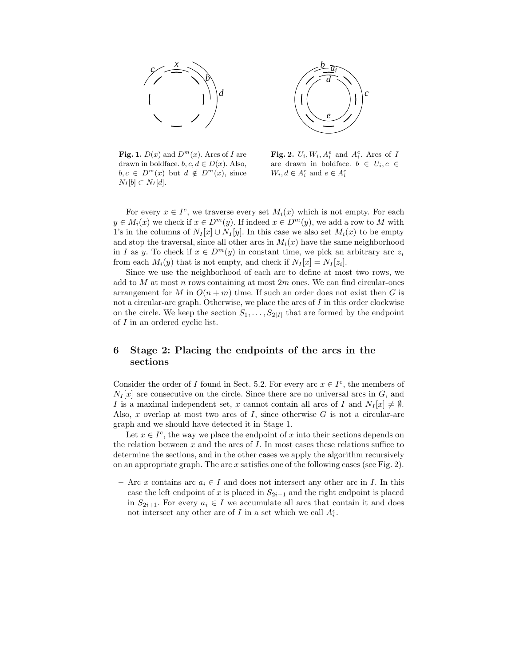



Fig. 1.  $D(x)$  and  $D^{m}(x)$ . Arcs of I are drawn in boldface.  $b, c, d \in D(x)$ . Also,  $b, c \in D^m(x)$  but  $d \notin D^m(x)$ , since  $N_I[b] \subset N_I[d]$ .

Fig. 2.  $U_i$ ,  $W_i$ ,  $A_i^e$  and  $A_i^c$ . Arcs of I are drawn in boldface.  $b \in U_i, c \in$  $W_i, d \in A_i^e$  and  $e \in A_i^c$ 

For every  $x \in I^c$ , we traverse every set  $M_i(x)$  which is not empty. For each  $y \in M_i(x)$  we check if  $x \in D^m(y)$ . If indeed  $x \in D^m(y)$ , we add a row to M with 1's in the columns of  $N_I[x] \cup N_I[y]$ . In this case we also set  $M_i(x)$  to be empty and stop the traversal, since all other arcs in  $M_i(x)$  have the same neighborhood in I as y. To check if  $x \in D^m(y)$  in constant time, we pick an arbitrary arc  $z_i$ from each  $M_i(y)$  that is not empty, and check if  $N_I[x] = N_I[z_i].$ 

Since we use the neighborhood of each arc to define at most two rows, we add to  $M$  at most  $n$  rows containing at most  $2m$  ones. We can find circular-ones arrangement for M in  $O(n+m)$  time. If such an order does not exist then G is not a circular-arc graph. Otherwise, we place the arcs of I in this order clockwise on the circle. We keep the section  $S_1, \ldots, S_{2|I|}$  that are formed by the endpoint of I in an ordered cyclic list.

# 6 Stage 2: Placing the endpoints of the arcs in the sections

Consider the order of I found in Sect. 5.2. For every arc  $x \in I^c$ , the members of  $N_I[x]$  are consecutive on the circle. Since there are no universal arcs in G, and I is a maximal independent set, x cannot contain all arcs of I and  $N_I[x] \neq \emptyset$ . Also, x overlap at most two arcs of  $I$ , since otherwise  $G$  is not a circular-arc graph and we should have detected it in Stage 1.

Let  $x \in I^c$ , the way we place the endpoint of x into their sections depends on the relation between  $x$  and the arcs of  $I$ . In most cases these relations suffice to determine the sections, and in the other cases we apply the algorithm recursively on an appropriate graph. The arc  $x$  satisfies one of the following cases (see Fig. 2).

– Arc x contains arc  $a_i \in I$  and does not intersect any other arc in I. In this case the left endpoint of x is placed in  $S_{2i-1}$  and the right endpoint is placed in  $S_{2i+1}$ . For every  $a_i \in I$  we accumulate all arcs that contain it and does not intersect any other arc of I in a set which we call  $A_i^e$ .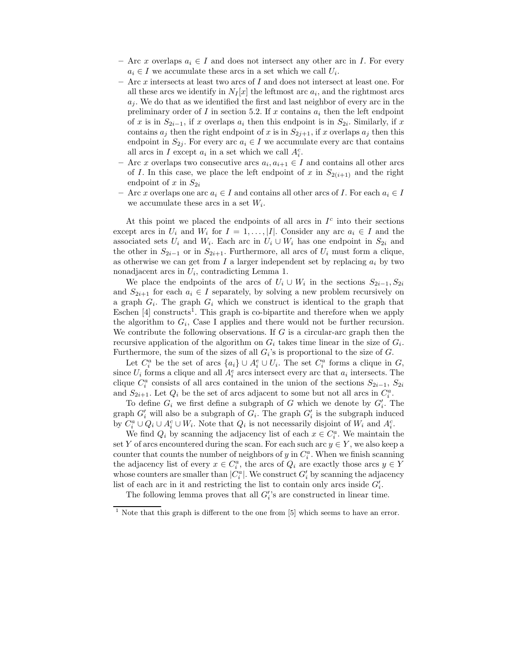- Arc x overlaps  $a_i \in I$  and does not intersect any other arc in I. For every  $a_i \in I$  we accumulate these arcs in a set which we call  $U_i$ .
- Arc x intersects at least two arcs of I and does not intersect at least one. For all these arcs we identify in  $N_I[x]$  the leftmost arc  $a_i$ , and the rightmost arcs  $a_i$ . We do that as we identified the first and last neighbor of every arc in the preliminary order of I in section 5.2. If x contains  $a_i$  then the left endpoint of x is in  $S_{2i-1}$ , if x overlaps  $a_i$  then this endpoint is in  $S_{2i}$ . Similarly, if x contains  $a_i$  then the right endpoint of x is in  $S_{2i+1}$ , if x overlaps  $a_i$  then this endpoint in  $S_{2i}$ . For every arc  $a_i \in I$  we accumulate every arc that contains all arcs in  $I$  except  $a_i$  in a set which we call  $A_i^c$ .
- $-$  Arc x overlaps two consecutive arcs  $a_i, a_{i+1} \in I$  and contains all other arcs of I. In this case, we place the left endpoint of x in  $S_{2(i+1)}$  and the right endpoint of x in  $S_{2i}$
- Arc x overlaps one arc  $a_i \in I$  and contains all other arcs of I. For each  $a_i \in I$ we accumulate these arcs in a set  $W_i$ .

At this point we placed the endpoints of all arcs in  $I<sup>c</sup>$  into their sections except arcs in  $U_i$  and  $W_i$  for  $I = 1, ..., |I|$ . Consider any arc  $a_i \in I$  and the associated sets  $U_i$  and  $W_i$ . Each arc in  $U_i \cup W_i$  has one endpoint in  $S_{2i}$  and the other in  $S_{2i-1}$  or in  $S_{2i+1}$ . Furthermore, all arcs of  $U_i$  must form a clique, as otherwise we can get from I a larger independent set by replacing  $a_i$  by two nonadjacent arcs in  $U_i$ , contradicting Lemma 1.

We place the endpoints of the arcs of  $U_i \cup W_i$  in the sections  $S_{2i-1}, S_{2i}$ and  $S_{2i+1}$  for each  $a_i \in I$  separately, by solving a new problem recursively on a graph  $G_i$ . The graph  $G_i$  which we construct is identical to the graph that Eschen [4] constructs<sup>1</sup>. This graph is co-bipartite and therefore when we apply the algorithm to  $G_i$ , Case I applies and there would not be further recursion. We contribute the following observations. If  $G$  is a circular-arc graph then the recursive application of the algorithm on  $G_i$  takes time linear in the size of  $G_i$ . Furthermore, the sum of the sizes of all  $G_i$ 's is proportional to the size of  $G$ .

Let  $C_i^a$  be the set of arcs  $\{a_i\} \cup A_i^e \cup U_i$ . The set  $C_i^a$  forms a clique in  $G$ , since  $U_i$  forms a clique and all  $A_i^e$  arcs intersect every arc that  $a_i$  intersects. The clique  $C_i^a$  consists of all arcs contained in the union of the sections  $S_{2i-1}$ ,  $S_{2i}$ and  $S_{2i+1}$ . Let  $Q_i$  be the set of arcs adjacent to some but not all arcs in  $C_i^a$ .

To define  $G_i$  we first define a subgraph of G which we denote by  $G'_i$ . The graph  $G'_{i}$  will also be a subgraph of  $G_{i}$ . The graph  $G'_{i}$  is the subgraph induced by  $C_i^a \cup Q_i \cup A_i^c \cup W_i$ . Note that  $Q_i$  is not necessarily disjoint of  $W_i$  and  $A_i^c$ .

We find  $Q_i$  by scanning the adjacency list of each  $x \in C_i^a$ . We maintain the set Y of arcs encountered during the scan. For each such arc  $y \in Y$ , we also keep a counter that counts the number of neighbors of  $y$  in  $C_i^a$ . When we finish scanning the adjacency list of every  $x \in C_i^a$ , the arcs of  $Q_i$  are exactly those arcs  $y \in Y$ whose counters are smaller than  $|C_i^a|$ . We construct  $G_i'$  by scanning the adjacency list of each arc in it and restricting the list to contain only arcs inside  $G_i'$ .

The following lemma proves that all  $G_i$ 's are constructed in linear time.

<sup>&</sup>lt;sup>1</sup> Note that this graph is different to the one from [5] which seems to have an error.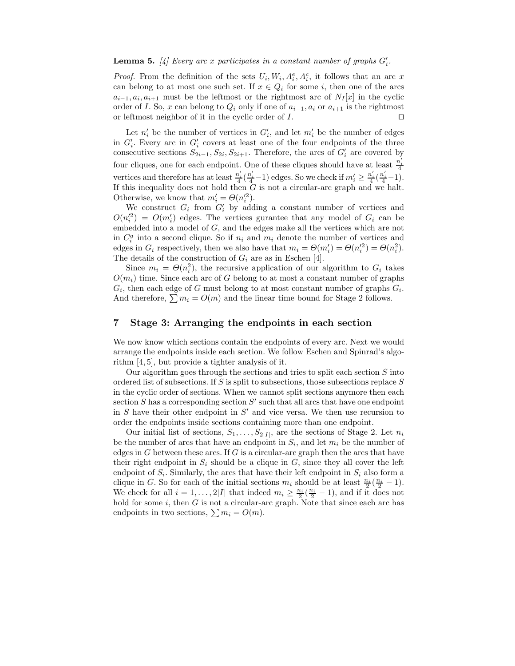# **Lemma 5.** [4] Every arc x participates in a constant number of graphs  $G_i'$ .

*Proof.* From the definition of the sets  $U_i, W_i, A_i^e, A_i^c$ , it follows that an arc x can belong to at most one such set. If  $x \in Q_i$  for some i, then one of the arcs  $a_{i-1}, a_i, a_{i+1}$  must be the leftmost or the rightmost arc of  $N_I[x]$  in the cyclic order of I. So, x can belong to  $Q_i$  only if one of  $a_{i-1}, a_i$  or  $a_{i+1}$  is the rightmost or leftmost neighbor of it in the cyclic order of  $I$ .

Let  $n'_i$  be the number of vertices in  $G'_i$ , and let  $m'_i$  be the number of edges in  $G_i'$ . Every arc in  $G_i'$  covers at least one of the four endpoints of the three consecutive sections  $S_{2i-1}, S_{2i}, S_{2i+1}$ . Therefore, the arcs of  $G_i'$  are covered by four cliques, one for each endpoint. One of these cliques should have at least  $\frac{n_i'}{4}$ vertices and therefore has at least  $\frac{n'_i}{4}(\frac{n'_i}{4}-1)$  edges. So we check if  $m'_i \geq \frac{n'_i}{4}(\frac{n'_i}{4}-1)$ . If this inequality does not hold then  $G$  is not a circular-arc graph and we halt. Otherwise, we know that  $m'_i = \Theta(n_i'^2)$ .

We construct  $G_i$  from  $G'_i$  by adding a constant number of vertices and  $O(n_i'^2) = O(m_i')$  edges. The vertices gurantee that any model of  $G_i$  can be embedded into a model of G, and the edges make all the vertices which are not in  $C_i^a$  into a second clique. So if  $n_i$  and  $m_i$  denote the number of vertices and edges in  $G_i$  respectively, then we also have that  $m_i = \Theta(m'_i) = \Theta(n_i'^2) = \Theta(n_i^2)$ . The details of the construction of  $G_i$  are as in Eschen [4].

Since  $m_i = \Theta(n_i^2)$ , the recursive application of our algorithm to  $G_i$  takes  $O(m_i)$  time. Since each arc of G belong to at most a constant number of graphs  $G_i$ , then each edge of G must belong to at most constant number of graphs  $G_i$ . And therefore,  $\sum m_i = O(m)$  and the linear time bound for Stage 2 follows.

## 7 Stage 3: Arranging the endpoints in each section

We now know which sections contain the endpoints of every arc. Next we would arrange the endpoints inside each section. We follow Eschen and Spinrad's algorithm [4, 5], but provide a tighter analysis of it.

Our algorithm goes through the sections and tries to split each section  $S$  into ordered list of subsections. If S is split to subsections, those subsections replace  $S$ in the cyclic order of sections. When we cannot split sections anymore then each section  $S$  has a corresponding section  $S'$  such that all arcs that have one endpoint in  $S$  have their other endpoint in  $S'$  and vice versa. We then use recursion to order the endpoints inside sections containing more than one endpoint.

Our initial list of sections,  $S_1, \ldots, S_{2|I|}$ , are the sections of Stage 2. Let  $n_i$ be the number of arcs that have an endpoint in  $S_i$ , and let  $m_i$  be the number of edges in  $G$  between these arcs. If  $G$  is a circular-arc graph then the arcs that have their right endpoint in  $S_i$  should be a clique in  $G$ , since they all cover the left endpoint of  $S_i$ . Similarly, the arcs that have their left endpoint in  $S_i$  also form a clique in G. So for each of the initial sections  $m_i$  should be at least  $\frac{n_i}{2}(\frac{n_i}{2}-1)$ . We check for all  $i = 1, ..., 2|I|$  that indeed  $m_i \geq \frac{n_i}{2}(\frac{n_i}{2} - 1)$ , and if it does not hold for some  $i$ , then  $G$  is not a circular-arc graph. Note that since each arc has endpoints in two sections,  $\sum m_i = O(m)$ .